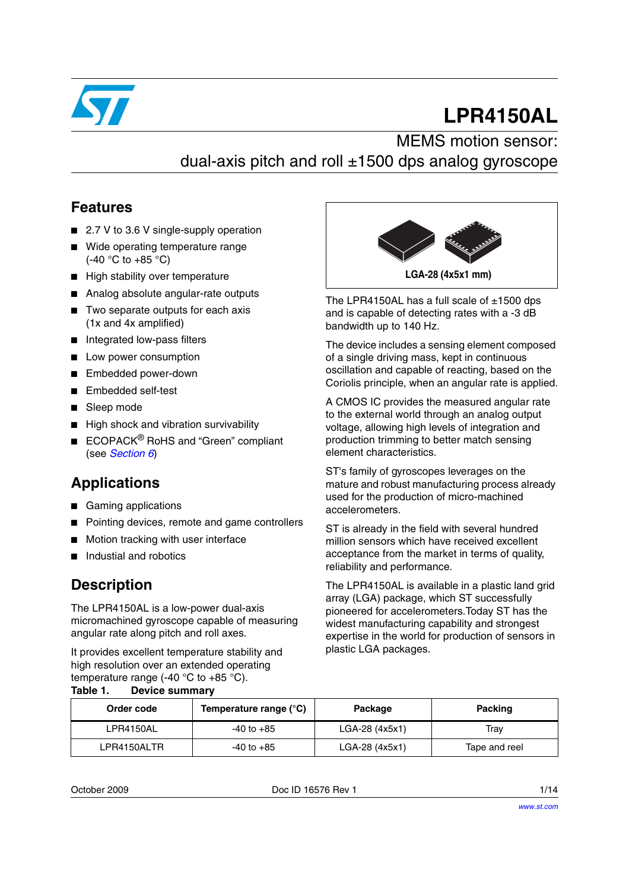

# **LPR4150AL**

# MEMS motion sensor: dual-axis pitch and roll  $\pm$ 1500 dps analog gyroscope

#### **Features**

- 2.7 V to 3.6 V single-supply operation
- Wide operating temperature range (-40 °C to +85 °C)
- High stability over temperature
- Analog absolute angular-rate outputs
- Two separate outputs for each axis (1x and 4x amplified)
- Integrated low-pass filters
- Low power consumption
- Embedded power-down
- Embedded self-test
- Sleep mode
- High shock and vibration survivability
- ECOPACK<sup>®</sup> RoHS and "Green" compliant (see *[Section 6](#page-11-0)*)

# **Applications**

- Gaming applications
- Pointing devices, remote and game controllers
- Motion tracking with user interface
- Industial and robotics

### **Description**

The LPR4150AL is a low-power dual-axis micromachined gyroscope capable of measuring angular rate along pitch and roll axes.

It provides excellent temperature stability and high resolution over an extended operating temperature range (-40  $^{\circ}$ C to +85  $^{\circ}$ C). **Table 1. Device summary**



The LPR4150AL has a full scale of  $\pm 1500$  dps and is capable of detecting rates with a -3 dB bandwidth up to 140 Hz.

The device includes a sensing element composed of a single driving mass, kept in continuous oscillation and capable of reacting, based on the Coriolis principle, when an angular rate is applied.

A CMOS IC provides the measured angular rate to the external world through an analog output voltage, allowing high levels of integration and production trimming to better match sensing element characteristics.

ST's family of gyroscopes leverages on the mature and robust manufacturing process already used for the production of micro-machined accelerometers.

ST is already in the field with several hundred million sensors which have received excellent acceptance from the market in terms of quality, reliability and performance.

The LPR4150AL is available in a plastic land grid array (LGA) package, which ST successfully pioneered for accelerometers.Today ST has the widest manufacturing capability and strongest expertise in the world for production of sensors in plastic LGA packages.

| Order code  | Temperature range (°C) | Package        | Packing       |
|-------------|------------------------|----------------|---------------|
| LPR4150AL   | -40 to +85             | LGA-28 (4x5x1) | Trav          |
| LPR4150ALTR | -40 to +85             | LGA-28 (4x5x1) | Tape and reel |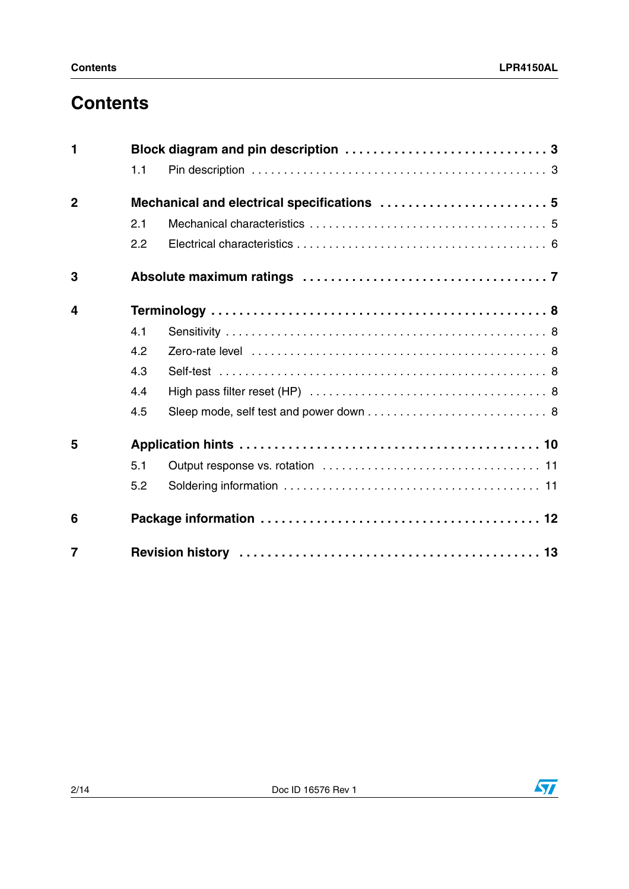# **Contents**

| 1              |     |  |  |  |
|----------------|-----|--|--|--|
|                | 1.1 |  |  |  |
| $\overline{2}$ |     |  |  |  |
|                | 2.1 |  |  |  |
|                | 2.2 |  |  |  |
| 3              |     |  |  |  |
| 4              |     |  |  |  |
|                | 4.1 |  |  |  |
|                | 4.2 |  |  |  |
|                | 4.3 |  |  |  |
|                | 4.4 |  |  |  |
|                | 4.5 |  |  |  |
| 5              |     |  |  |  |
|                | 5.1 |  |  |  |
|                | 5.2 |  |  |  |
| 6              |     |  |  |  |
| $\overline{7}$ |     |  |  |  |

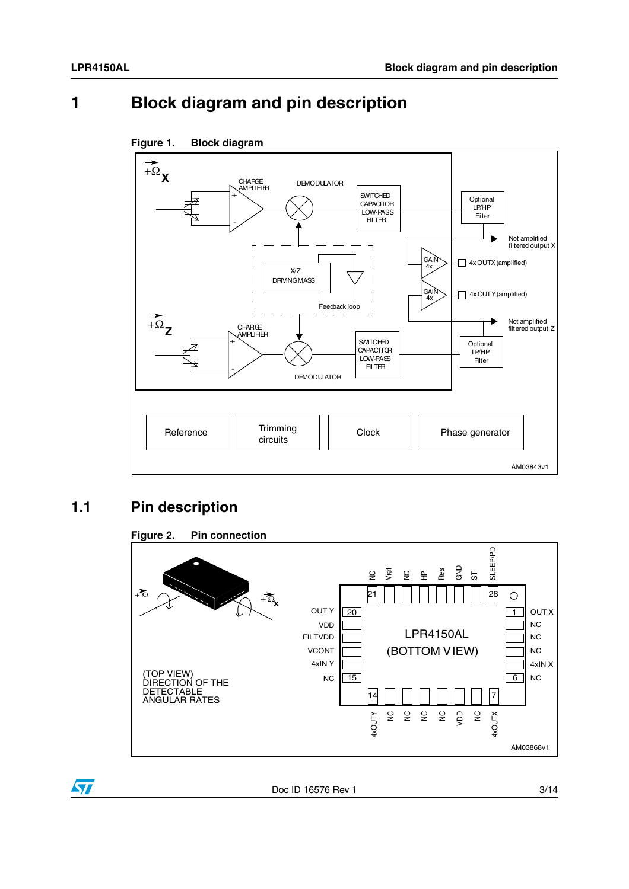# <span id="page-2-0"></span>**1 Block diagram and pin description**



#### **Figure 1. Block diagram**

### <span id="page-2-1"></span>**1.1 Pin description**



 $\sqrt{2}$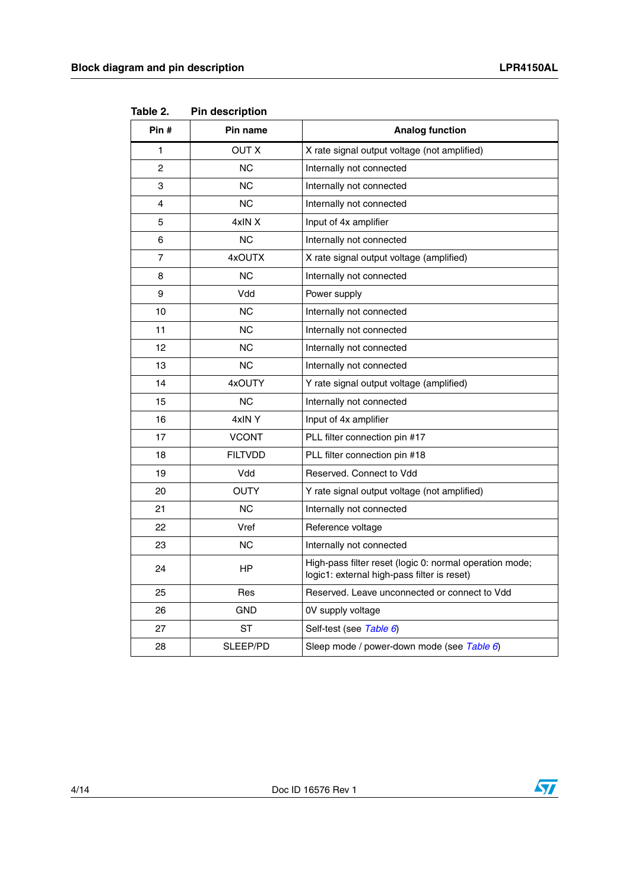| Pin#           | Pin name       | <b>Analog function</b>                                                                                 |
|----------------|----------------|--------------------------------------------------------------------------------------------------------|
| 1              | <b>OUT X</b>   | X rate signal output voltage (not amplified)                                                           |
| $\overline{2}$ | <b>NC</b>      | Internally not connected                                                                               |
| 3              | NС             | Internally not connected                                                                               |
| 4              | <b>NC</b>      | Internally not connected                                                                               |
| 5              | 4xIN X         | Input of 4x amplifier                                                                                  |
| 6              | <b>NC</b>      | Internally not connected                                                                               |
| 7              | 4xOUTX         | X rate signal output voltage (amplified)                                                               |
| 8              | <b>NC</b>      | Internally not connected                                                                               |
| 9              | Vdd            | Power supply                                                                                           |
| 10             | NС             | Internally not connected                                                                               |
| 11             | <b>NC</b>      | Internally not connected                                                                               |
| 12             | <b>NC</b>      | Internally not connected                                                                               |
| 13             | <b>NC</b>      | Internally not connected                                                                               |
| 14             | 4xOUTY         | Y rate signal output voltage (amplified)                                                               |
| 15             | <b>NC</b>      | Internally not connected                                                                               |
| 16             | 4xINY          | Input of 4x amplifier                                                                                  |
| 17             | <b>VCONT</b>   | PLL filter connection pin #17                                                                          |
| 18             | <b>FILTVDD</b> | PLL filter connection pin #18                                                                          |
| 19             | Vdd            | Reserved, Connect to Vdd                                                                               |
| 20             | <b>OUTY</b>    | Y rate signal output voltage (not amplified)                                                           |
| 21             | <b>NC</b>      | Internally not connected                                                                               |
| 22             | Vref           | Reference voltage                                                                                      |
| 23             | <b>NC</b>      | Internally not connected                                                                               |
| 24             | НP             | High-pass filter reset (logic 0: normal operation mode;<br>logic1: external high-pass filter is reset) |
| 25             | Res            | Reserved. Leave unconnected or connect to Vdd                                                          |
| 26             | <b>GND</b>     | 0V supply voltage                                                                                      |
| 27             | <b>ST</b>      | Self-test (see Table 6)                                                                                |
| 28             | SLEEP/PD       | Sleep mode / power-down mode (see Table 6)                                                             |

**Table 2. Pin description**



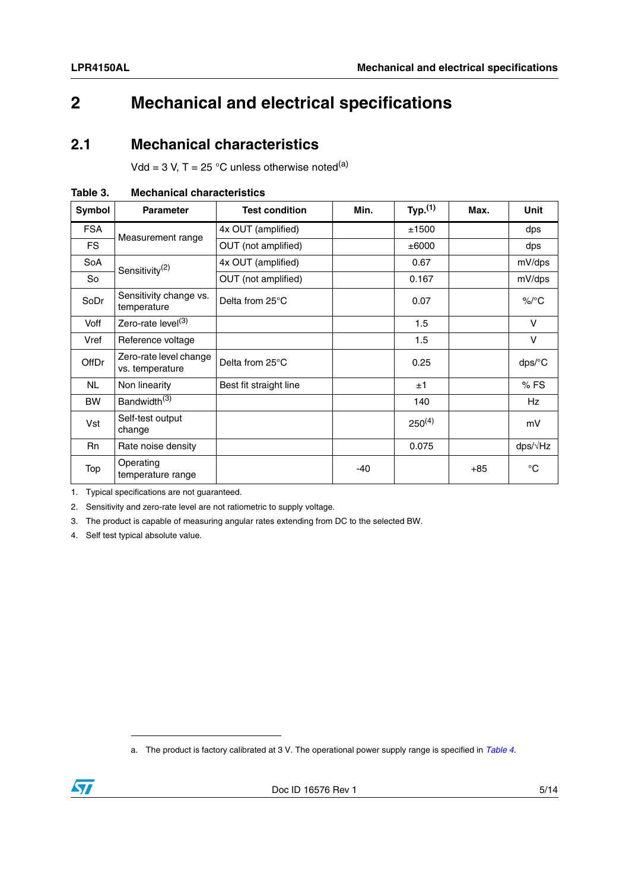# <span id="page-4-0"></span>**2 Mechanical and electrical specifications**

#### <span id="page-4-1"></span>**2.1 Mechanical characteristics**

Vdd = 3 V, T = 25 °C unless otherwise noted<sup>(a)</sup>

| Symbol     | <b>Parameter</b>                          | <b>Test condition</b>  | Min. | Typ. <sup>(1)</sup> | Max.  | <b>Unit</b>     |
|------------|-------------------------------------------|------------------------|------|---------------------|-------|-----------------|
| <b>FSA</b> |                                           | 4x OUT (amplified)     |      | ±1500               |       | dps             |
| <b>FS</b>  | Measurement range                         | OUT (not amplified)    |      | ±6000               |       | dps             |
| SoA        | Sensitivity <sup>(2)</sup>                | 4x OUT (amplified)     |      | 0.67                |       | mV/dps          |
| <b>So</b>  |                                           | OUT (not amplified)    |      | 0.167               |       | mV/dps          |
| SoDr       | Sensitivity change vs.<br>temperature     | Delta from 25°C        |      | 0.07                |       | $\%$ /°C        |
| Voff       | Zero-rate level <sup>(3)</sup>            |                        |      | 1.5                 |       | $\vee$          |
| Vref       | Reference voltage                         |                        |      | 1.5                 |       | $\vee$          |
| OffDr      | Zero-rate level change<br>vs. temperature | Delta from 25°C        |      | 0.25                |       | dps/°C          |
| <b>NL</b>  | Non linearity                             | Best fit straight line |      | ±1                  |       | %FS             |
| <b>BW</b>  | Bandwidth <sup>(3)</sup>                  |                        |      | 140                 |       | <b>Hz</b>       |
| Vst        | Self-test output<br>change                |                        |      | $250^{(4)}$         |       | mV              |
| <b>Rn</b>  | Rate noise density                        |                        |      | 0.075               |       | $dps/\sqrt{Hz}$ |
| Top        | Operating<br>temperature range            |                        | -40  |                     | $+85$ | $^{\circ}C$     |

<span id="page-4-2"></span>

| Table 3. |  | <b>Mechanical characteristics</b> |
|----------|--|-----------------------------------|
|----------|--|-----------------------------------|

1. Typical specifications are not guaranteed.

2. Sensitivity and zero-rate level are not ratiometric to supply voltage.

3. The product is capable of measuring angular rates extending from DC to the selected BW.

4. Self test typical absolute value.

a. The product is factory calibrated at 3 V. The operational power supply range is specified in *[Table 4](#page-5-1)*.

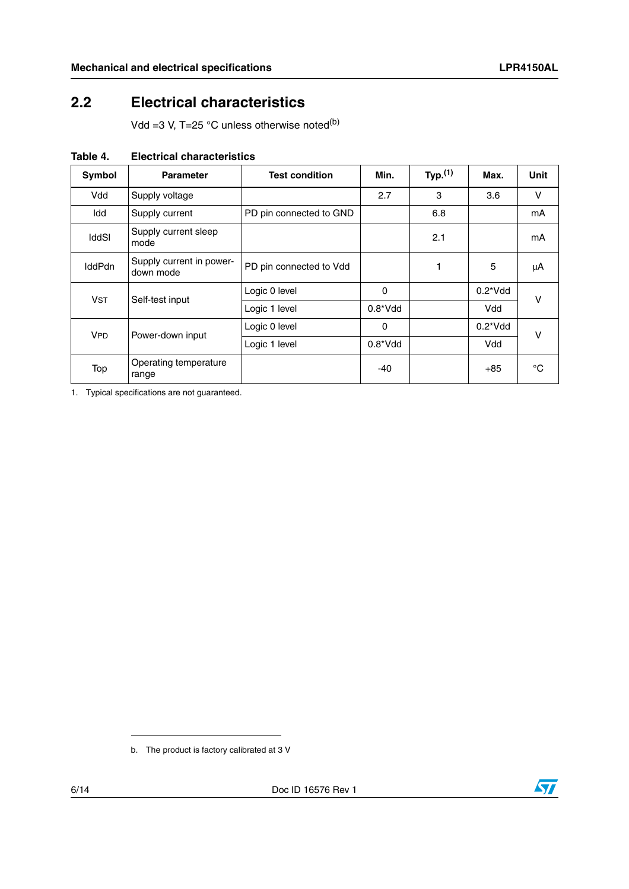## <span id="page-5-0"></span>**2.2 Electrical characteristics**

Vdd =3 V, T=25  $^{\circ}$ C unless otherwise noted<sup>(b)</sup>

| Symbol        | <b>Parameter</b>                      | <b>Test condition</b>   | Min.        | Typ. $(1)$ | Max.             | Unit |
|---------------|---------------------------------------|-------------------------|-------------|------------|------------------|------|
| Vdd           | Supply voltage                        |                         | 2.7         | 3          | 3.6              | V    |
| Idd           | Supply current                        | PD pin connected to GND |             | 6.8        |                  | mA   |
| <b>IddSI</b>  | Supply current sleep<br>mode          |                         |             | 2.1        |                  | mA   |
| <b>IddPdn</b> | Supply current in power-<br>down mode | PD pin connected to Vdd |             |            | 5                | μA   |
| <b>VST</b>    | Self-test input                       | Logic 0 level           | 0           |            | $0.2^{\ast}$ Vdd | v    |
|               |                                       | Logic 1 level           | $0.8^*V$ dd |            | Vdd              |      |
| <b>VPD</b>    | Power-down input                      | Logic 0 level           | 0           |            | $0.2^{\ast}$ Vdd | v    |
|               |                                       | Logic 1 level           | $0.8^*V$ dd |            | Vdd              |      |
| Top           | Operating temperature<br>range        |                         | -40         |            | $+85$            | °C   |

<span id="page-5-1"></span>**Table 4. Electrical characteristics**

1. Typical specifications are not guaranteed.



b. The product is factory calibrated at 3 V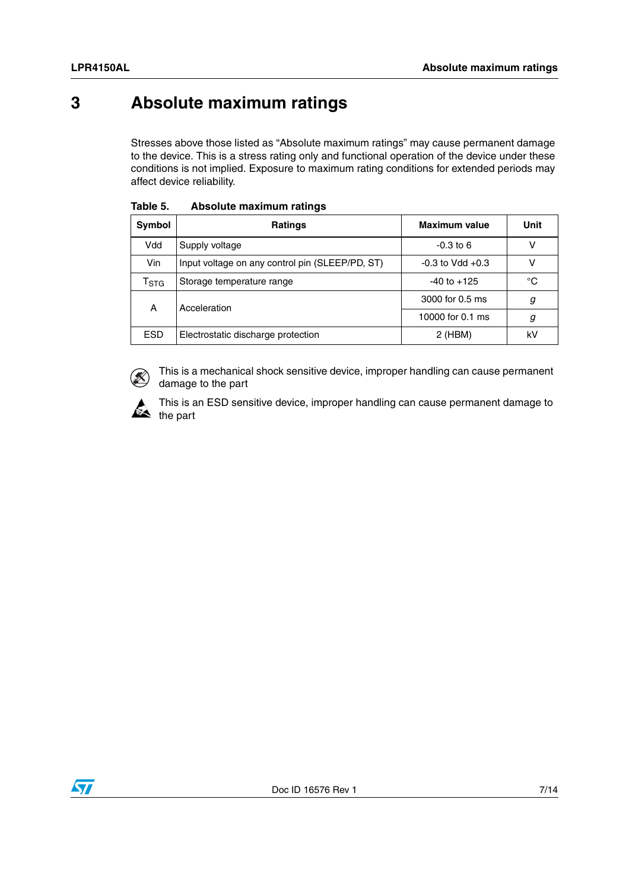# <span id="page-6-0"></span>**3 Absolute maximum ratings**

Stresses above those listed as "Absolute maximum ratings" may cause permanent damage to the device. This is a stress rating only and functional operation of the device under these conditions is not implied. Exposure to maximum rating conditions for extended periods may affect device reliability.

| Symbol                      | <b>Ratings</b>                                  | <b>Maximum value</b> | Unit |
|-----------------------------|-------------------------------------------------|----------------------|------|
| Vdd                         | Supply voltage                                  | $-0.3$ to 6          | v    |
| Vin                         | Input voltage on any control pin (SLEEP/PD, ST) | $-0.3$ to Vdd $+0.3$ | v    |
| $\mathsf{r}_{\texttt{STG}}$ | Storage temperature range                       | $-40$ to $+125$      | °C   |
| Α                           | Acceleration                                    | 3000 for 0.5 ms      | g    |
|                             |                                                 | 10000 for 0.1 ms     | g    |
| <b>ESD</b>                  | Electrostatic discharge protection              | $2$ (HBM)            | kV   |

| Table 5. | Absolute maximum ratings |  |
|----------|--------------------------|--|
|          |                          |  |



This is a mechanical shock sensitive device, improper handling can cause permanent damage to the part



This is an ESD sensitive device, improper handling can cause permanent damage to  $\sum_{\text{the part}}$ 

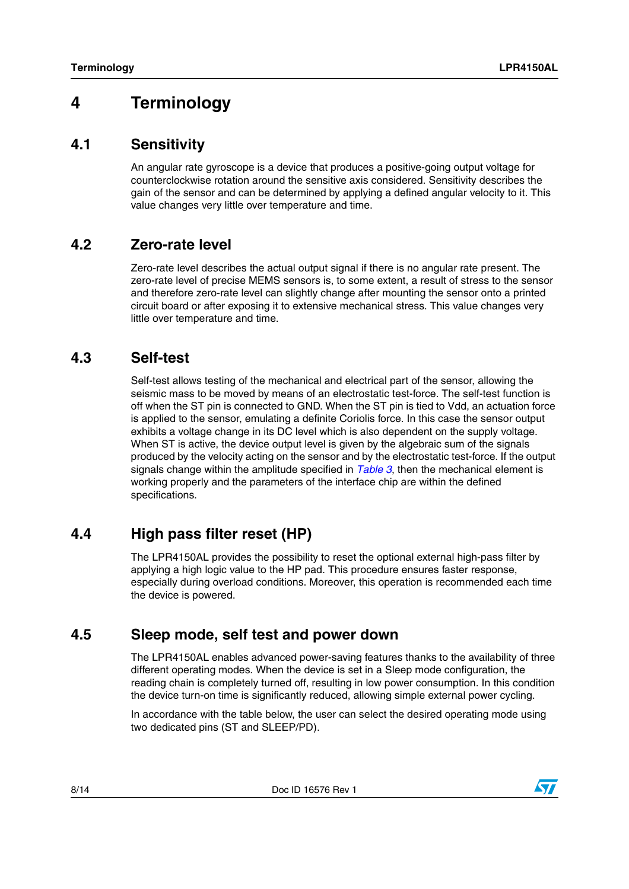# <span id="page-7-0"></span>**4 Terminology**

#### <span id="page-7-1"></span>**4.1 Sensitivity**

An angular rate gyroscope is a device that produces a positive-going output voltage for counterclockwise rotation around the sensitive axis considered. Sensitivity describes the gain of the sensor and can be determined by applying a defined angular velocity to it. This value changes very little over temperature and time.

#### <span id="page-7-2"></span>**4.2 Zero-rate level**

Zero-rate level describes the actual output signal if there is no angular rate present. The zero-rate level of precise MEMS sensors is, to some extent, a result of stress to the sensor and therefore zero-rate level can slightly change after mounting the sensor onto a printed circuit board or after exposing it to extensive mechanical stress. This value changes very little over temperature and time.

#### <span id="page-7-3"></span>**4.3 Self-test**

Self-test allows testing of the mechanical and electrical part of the sensor, allowing the seismic mass to be moved by means of an electrostatic test-force. The self-test function is off when the ST pin is connected to GND. When the ST pin is tied to Vdd, an actuation force is applied to the sensor, emulating a definite Coriolis force. In this case the sensor output exhibits a voltage change in its DC level which is also dependent on the supply voltage. When ST is active, the device output level is given by the algebraic sum of the signals produced by the velocity acting on the sensor and by the electrostatic test-force. If the output signals change within the amplitude specified in *[Table 3](#page-4-2)*, then the mechanical element is working properly and the parameters of the interface chip are within the defined specifications.

### <span id="page-7-4"></span>**4.4 High pass filter reset (HP)**

The LPR4150AL provides the possibility to reset the optional external high-pass filter by applying a high logic value to the HP pad. This procedure ensures faster response, especially during overload conditions. Moreover, this operation is recommended each time the device is powered.

#### <span id="page-7-5"></span>**4.5 Sleep mode, self test and power down**

The LPR4150AL enables advanced power-saving features thanks to the availability of three different operating modes. When the device is set in a Sleep mode configuration, the reading chain is completely turned off, resulting in low power consumption. In this condition the device turn-on time is significantly reduced, allowing simple external power cycling.

In accordance with the table below, the user can select the desired operating mode using two dedicated pins (ST and SLEEP/PD).

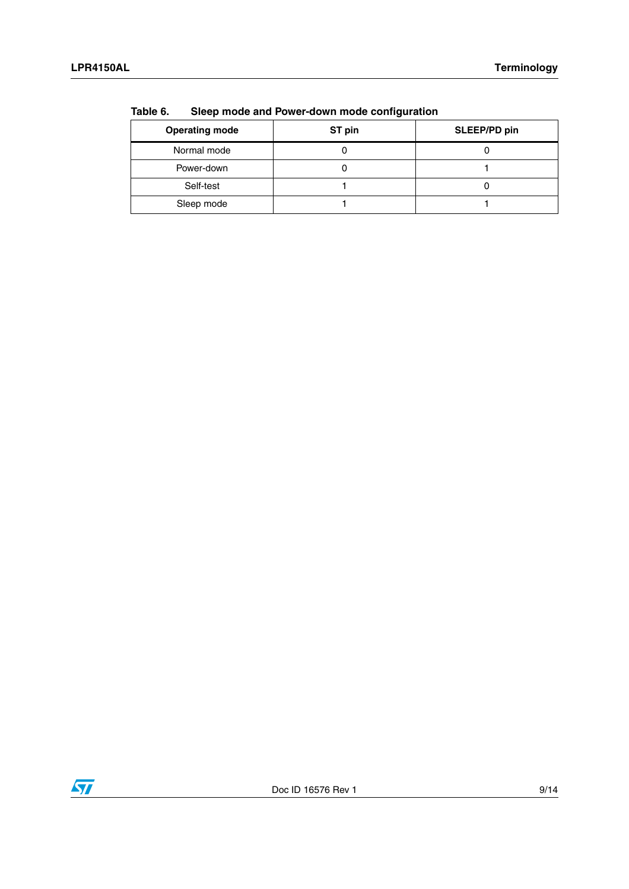| .                     |        |              |  |  |
|-----------------------|--------|--------------|--|--|
| <b>Operating mode</b> | ST pin | SLEEP/PD pin |  |  |
| Normal mode           |        |              |  |  |
| Power-down            |        |              |  |  |
| Self-test             |        |              |  |  |
| Sleep mode            |        |              |  |  |

<span id="page-8-0"></span>**Table 6. Sleep mode and Power-down mode configuration**

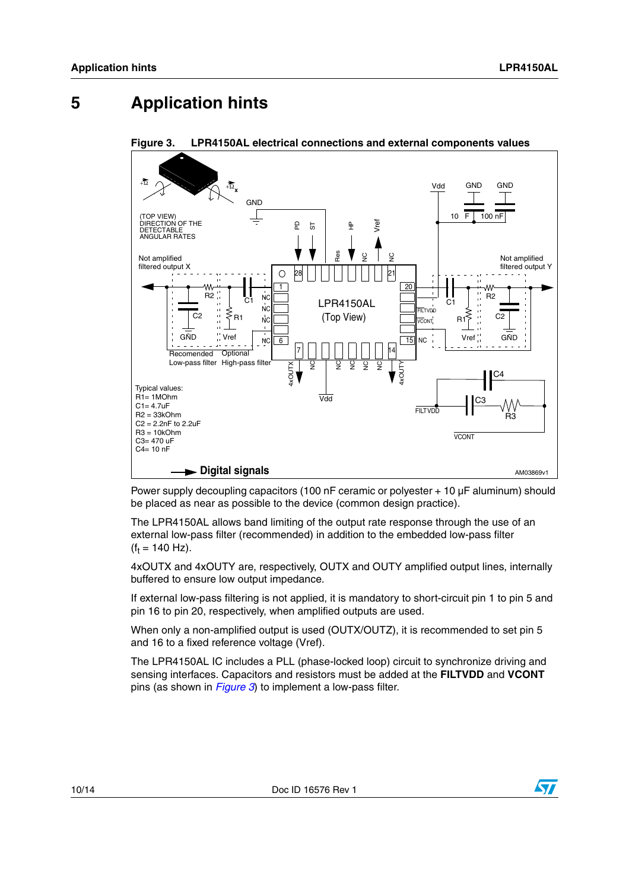# <span id="page-9-0"></span>**5 Application hints**



<span id="page-9-1"></span>**Figure 3. LPR4150AL electrical connections and external components values**

Power supply decoupling capacitors (100 nF ceramic or polyester + 10 µF aluminum) should be placed as near as possible to the device (common design practice).

The LPR4150AL allows band limiting of the output rate response through the use of an external low-pass filter (recommended) in addition to the embedded low-pass filter  $(f_t = 140 \text{ Hz}).$ 

4xOUTX and 4xOUTY are, respectively, OUTX and OUTY amplified output lines, internally buffered to ensure low output impedance.

If external low-pass filtering is not applied, it is mandatory to short-circuit pin 1 to pin 5 and pin 16 to pin 20, respectively, when amplified outputs are used.

When only a non-amplified output is used (OUTX/OUTZ), it is recommended to set pin 5 and 16 to a fixed reference voltage (Vref).

The LPR4150AL IC includes a PLL (phase-locked loop) circuit to synchronize driving and sensing interfaces. Capacitors and resistors must be added at the **FILTVDD** and **VCONT** pins (as shown in *[Figure 3](#page-9-1)*) to implement a low-pass filter.

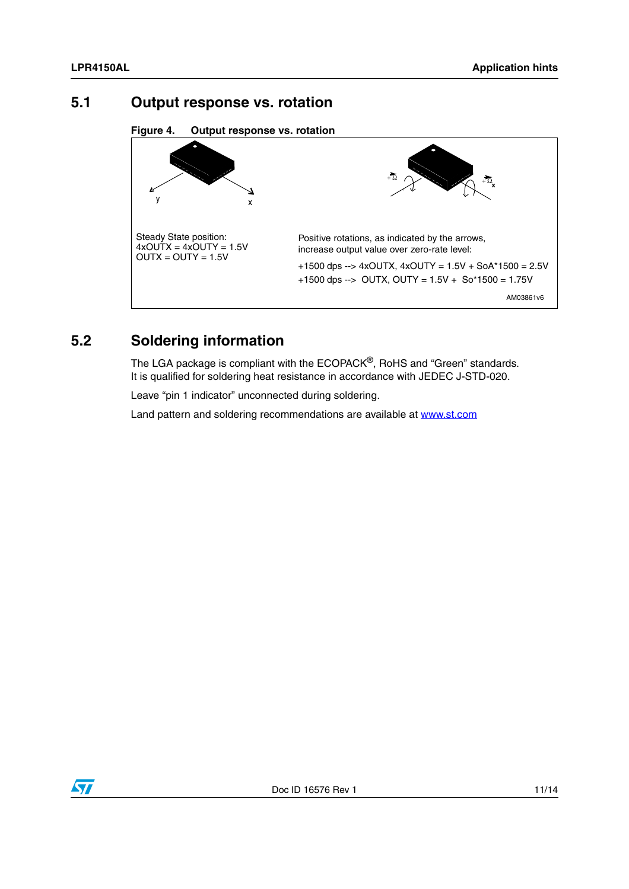#### <span id="page-10-0"></span>**5.1 Output response vs. rotation**

**Figure 4. Output response vs. rotation**



# <span id="page-10-1"></span>**5.2 Soldering information**

The LGA package is compliant with the ECOPACK<sup>®</sup>, RoHS and "Green" standards. It is qualified for soldering heat resistance in accordance with JEDEC J-STD-020.

Leave "pin 1 indicator" unconnected during soldering.

Land pattern and soldering recommendations are available at www.st.com

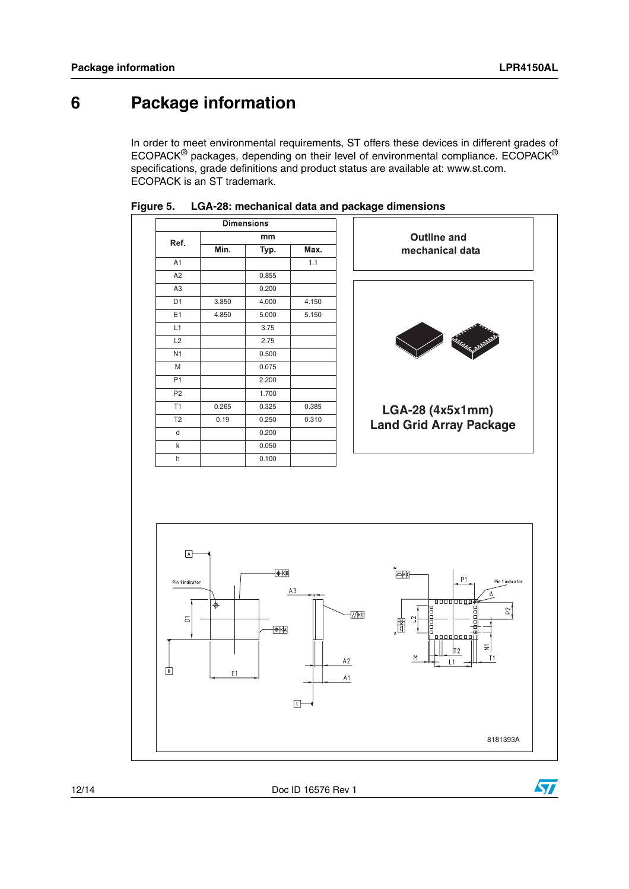# <span id="page-11-0"></span>**6 Package information**

In order to meet environmental requirements, ST offers these devices in different grades of ECOPACK® packages, depending on their level of environmental compliance. ECOPACK® specifications, grade definitions and product status are available at: www.st.com. ECOPACK is an ST trademark.







12/14 Doc ID 16576 Rev 1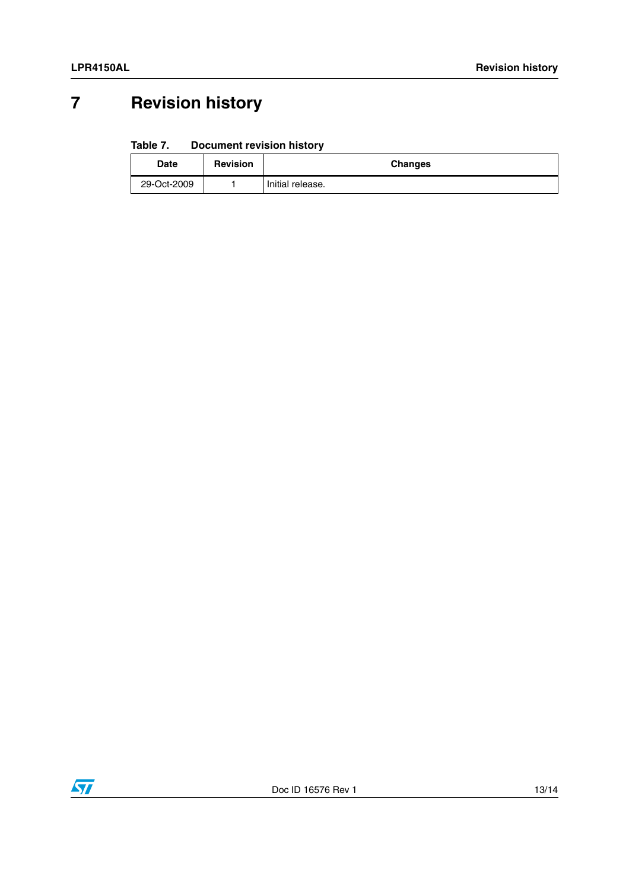# <span id="page-12-0"></span>**7 Revision history**

#### Table 7. **Document revision history**

| Date        | <b>Revision</b> | <b>Changes</b>   |
|-------------|-----------------|------------------|
| 29-Oct-2009 |                 | Initial release. |